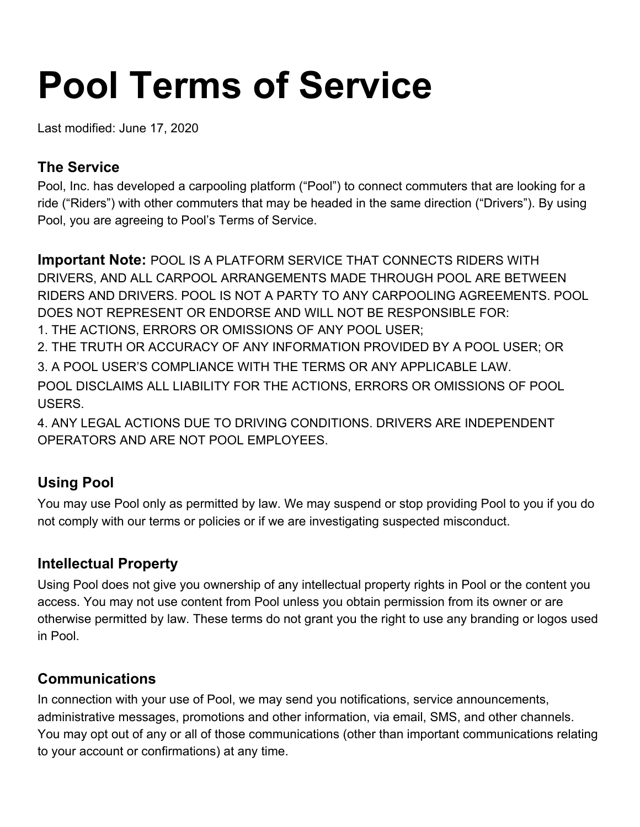# **Pool Terms of Service**

Last modified: June 17, 2020

## **The Service**

Pool, Inc. has developed a carpooling platform ("Pool") to connect commuters that are looking for a ride ("Riders") with other commuters that may be headed in the same direction ("Drivers"). By using Pool, you are agreeing to Pool's Terms of Service.

**Important Note:** POOL IS A PLATFORM SERVICE THAT CONNECTS RIDERS WITH DRIVERS, AND ALL CARPOOL ARRANGEMENTS MADE THROUGH POOL ARE BETWEEN RIDERS AND DRIVERS. POOL IS NOT A PARTY TO ANY CARPOOLING AGREEMENTS. POOL DOES NOT REPRESENT OR ENDORSE AND WILL NOT BE RESPONSIBLE FOR: 1. THE ACTIONS, ERRORS OR OMISSIONS OF ANY POOL USER;

2. THE TRUTH OR ACCURACY OF ANY INFORMATION PROVIDED BY A POOL USER; OR 3. A POOL USER'S COMPLIANCE WITH THE TERMS OR ANY APPLICABLE LAW. POOL DISCLAIMS ALL LIABILITY FOR THE ACTIONS, ERRORS OR OMISSIONS OF POOL USERS.

4. ANY LEGAL ACTIONS DUE TO DRIVING CONDITIONS. DRIVERS ARE INDEPENDENT OPERATORS AND ARE NOT POOL EMPLOYEES.

# **Using Pool**

You may use Pool only as permitted by law. We may suspend or stop providing Pool to you if you do not comply with our terms or policies or if we are investigating suspected misconduct.

# **Intellectual Property**

Using Pool does not give you ownership of any intellectual property rights in Pool or the content you access. You may not use content from Pool unless you obtain permission from its owner or are otherwise permitted by law. These terms do not grant you the right to use any branding or logos used in Pool.

# **Communications**

In connection with your use of Pool, we may send you notifications, service announcements, administrative messages, promotions and other information, via email, SMS, and other channels. You may opt out of any or all of those communications (other than important communications relating to your account or confirmations) at any time.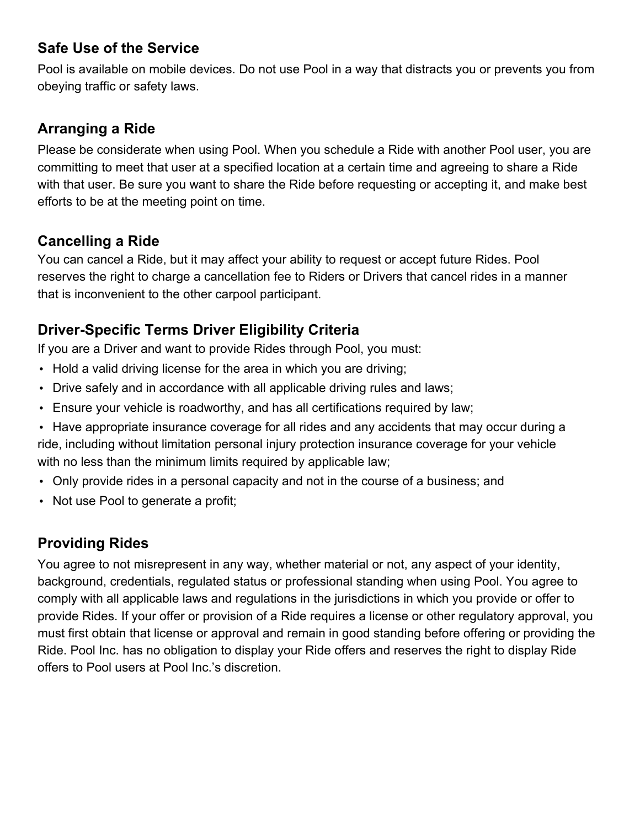## **Safe Use of the Service**

Pool is available on mobile devices. Do not use Pool in a way that distracts you or prevents you from obeying traffic or safety laws.

## **Arranging a Ride**

Please be considerate when using Pool. When you schedule a Ride with another Pool user, you are committing to meet that user at a specified location at a certain time and agreeing to share a Ride with that user. Be sure you want to share the Ride before requesting or accepting it, and make best efforts to be at the meeting point on time.

## **Cancelling a Ride**

You can cancel a Ride, but it may affect your ability to request or accept future Rides. Pool reserves the right to charge a cancellation fee to Riders or Drivers that cancel rides in a manner that is inconvenient to the other carpool participant.

# **Driver-Specific Terms Driver Eligibility Criteria**

If you are a Driver and want to provide Rides through Pool, you must:

- Hold a valid driving license for the area in which you are driving;
- Drive safely and in accordance with all applicable driving rules and laws;
- Ensure your vehicle is roadworthy, and has all certifications required by law;
- Have appropriate insurance coverage for all rides and any accidents that may occur during a ride, including without limitation personal injury protection insurance coverage for your vehicle with no less than the minimum limits required by applicable law;
- Only provide rides in a personal capacity and not in the course of a business; and
- Not use Pool to generate a profit;

# **Providing Rides**

You agree to not misrepresent in any way, whether material or not, any aspect of your identity, background, credentials, regulated status or professional standing when using Pool. You agree to comply with all applicable laws and regulations in the jurisdictions in which you provide or offer to provide Rides. If your offer or provision of a Ride requires a license or other regulatory approval, you must first obtain that license or approval and remain in good standing before offering or providing the Ride. Pool Inc. has no obligation to display your Ride offers and reserves the right to display Ride offers to Pool users at Pool Inc.'s discretion.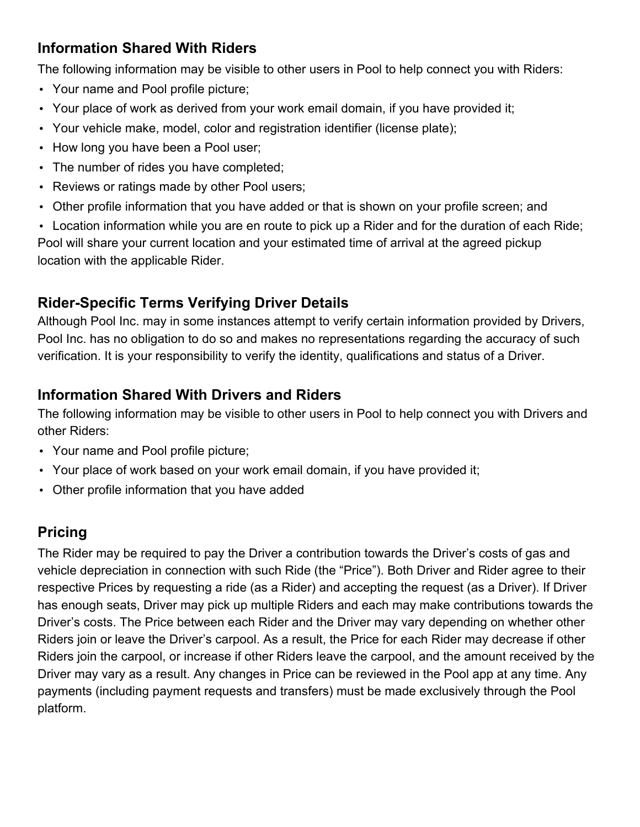# **Information Shared With Riders**

The following information may be visible to other users in Pool to help connect you with Riders:

- Your name and Pool profile picture;
- Your place of work as derived from your work email domain, if you have provided it;
- Your vehicle make, model, color and registration identifier (license plate);
- How long you have been a Pool user;
- The number of rides you have completed;
- Reviews or ratings made by other Pool users;
- Other profile information that you have added or that is shown on your profile screen; and

• Location information while you are en route to pick up a Rider and for the duration of each Ride; Pool will share your current location and your estimated time of arrival at the agreed pickup location with the applicable Rider.

# **Rider-Specific Terms Verifying Driver Details**

Although Pool Inc. may in some instances attempt to verify certain information provided by Drivers, Pool Inc. has no obligation to do so and makes no representations regarding the accuracy of such verification. It is your responsibility to verify the identity, qualifications and status of a Driver.

# **Information Shared With Drivers and Riders**

The following information may be visible to other users in Pool to help connect you with Drivers and other Riders:

- Your name and Pool profile picture;
- Your place of work based on your work email domain, if you have provided it;
- Other profile information that you have added

# **Pricing**

The Rider may be required to pay the Driver a contribution towards the Driver's costs of gas and vehicle depreciation in connection with such Ride (the "Price"). Both Driver and Rider agree to their respective Prices by requesting a ride (as a Rider) and accepting the request (as a Driver). If Driver has enough seats, Driver may pick up multiple Riders and each may make contributions towards the Driver's costs. The Price between each Rider and the Driver may vary depending on whether other Riders join or leave the Driver's carpool. As a result, the Price for each Rider may decrease if other Riders join the carpool, or increase if other Riders leave the carpool, and the amount received by the Driver may vary as a result. Any changes in Price can be reviewed in the Pool app at any time. Any payments (including payment requests and transfers) must be made exclusively through the Pool platform.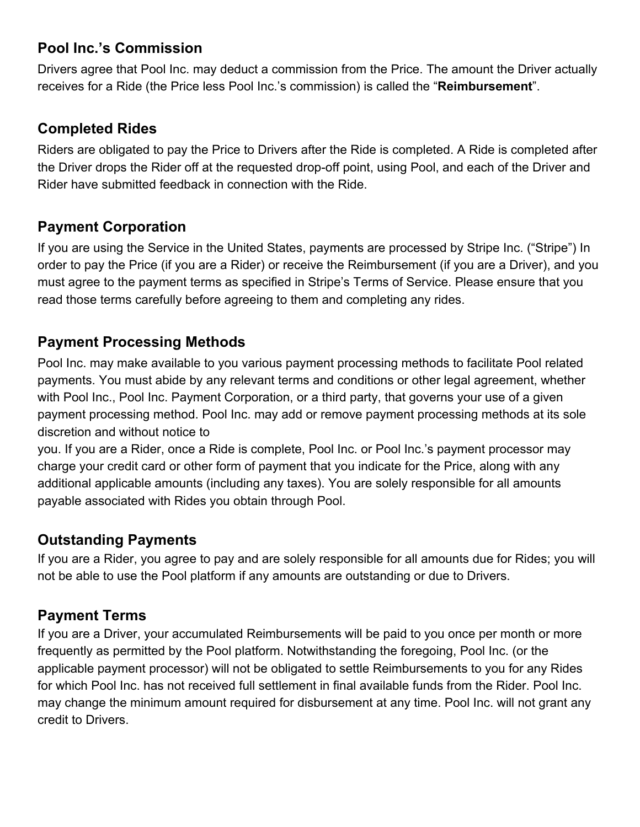## **Pool Inc.'s Commission**

Drivers agree that Pool Inc. may deduct a commission from the Price. The amount the Driver actually receives for a Ride (the Price less Pool Inc.'s commission) is called the "**Reimbursement**".

## **Completed Rides**

Riders are obligated to pay the Price to Drivers after the Ride is completed. A Ride is completed after the Driver drops the Rider off at the requested drop-off point, using Pool, and each of the Driver and Rider have submitted feedback in connection with the Ride.

## **Payment Corporation**

If you are using the Service in the United States, payments are processed by Stripe Inc. ("Stripe") In order to pay the Price (if you are a Rider) or receive the Reimbursement (if you are a Driver), and you must agree to the payment terms as specified in Stripe's Terms of Service. Please ensure that you read those terms carefully before agreeing to them and completing any rides.

### **Payment Processing Methods**

Pool Inc. may make available to you various payment processing methods to facilitate Pool related payments. You must abide by any relevant terms and conditions or other legal agreement, whether with Pool Inc., Pool Inc. Payment Corporation, or a third party, that governs your use of a given payment processing method. Pool Inc. may add or remove payment processing methods at its sole discretion and without notice to

you. If you are a Rider, once a Ride is complete, Pool Inc. or Pool Inc.'s payment processor may charge your credit card or other form of payment that you indicate for the Price, along with any additional applicable amounts (including any taxes). You are solely responsible for all amounts payable associated with Rides you obtain through Pool.

#### **Outstanding Payments**

If you are a Rider, you agree to pay and are solely responsible for all amounts due for Rides; you will not be able to use the Pool platform if any amounts are outstanding or due to Drivers.

# **Payment Terms**

If you are a Driver, your accumulated Reimbursements will be paid to you once per month or more frequently as permitted by the Pool platform. Notwithstanding the foregoing, Pool Inc. (or the applicable payment processor) will not be obligated to settle Reimbursements to you for any Rides for which Pool Inc. has not received full settlement in final available funds from the Rider. Pool Inc. may change the minimum amount required for disbursement at any time. Pool Inc. will not grant any credit to Drivers.